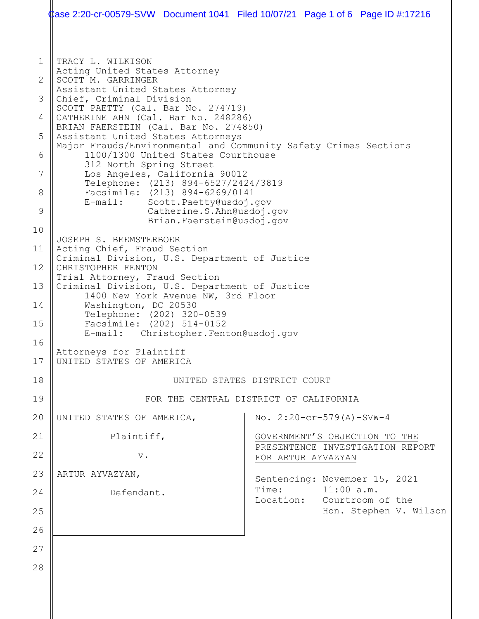|                                                                                          | Case 2:20-cr-00579-SVW Document 1041 Filed 10/07/21 Page 1 of 6 Page ID #:17216                                                                                                                                                                                                                                                                                                                                                                                                                                                                                                                                                                                                                                                                                                                                                                                                                                                                                                                                                 |  |       |                                                                                                       |  |  |  |
|------------------------------------------------------------------------------------------|---------------------------------------------------------------------------------------------------------------------------------------------------------------------------------------------------------------------------------------------------------------------------------------------------------------------------------------------------------------------------------------------------------------------------------------------------------------------------------------------------------------------------------------------------------------------------------------------------------------------------------------------------------------------------------------------------------------------------------------------------------------------------------------------------------------------------------------------------------------------------------------------------------------------------------------------------------------------------------------------------------------------------------|--|-------|-------------------------------------------------------------------------------------------------------|--|--|--|
| $\mathbf{1}$<br>2<br>3<br>4<br>5<br>6<br>7<br>8<br>9<br>10<br>11<br>12<br>13<br>14<br>15 | TRACY L. WILKISON<br>Acting United States Attorney<br>SCOTT M. GARRINGER<br>Assistant United States Attorney<br>Chief, Criminal Division<br>SCOTT PAETTY (Cal. Bar No. 274719)<br>CATHERINE AHN (Cal. Bar No. 248286)<br>BRIAN FAERSTEIN (Cal. Bar No. 274850)<br>Assistant United States Attorneys<br>Major Frauds/Environmental and Community Safety Crimes Sections<br>1100/1300 United States Courthouse<br>312 North Spring Street<br>Los Angeles, California 90012<br>Telephone: (213) 894-6527/2424/3819<br>Facsimile: (213) 894-6269/0141<br>E-mail: Scott.Paetty@usdoj.gov<br>Catherine.S.Ahn@usdoj.gov<br>Brian.Faerstein@usdoj.gov<br>JOSEPH S. BEEMSTERBOER<br>Acting Chief, Fraud Section<br>Criminal Division, U.S. Department of Justice<br>CHRISTOPHER FENTON<br>Trial Attorney, Fraud Section<br>Criminal Division, U.S. Department of Justice<br>1400 New York Avenue NW, 3rd Floor<br>Washington, DC 20530<br>Telephone: (202) 320-0539<br>Facsimile: (202) 514-0152<br>E-mail: Christopher.Fenton@usdoj.gov |  |       |                                                                                                       |  |  |  |
| 16<br>17                                                                                 | Attorneys for Plaintiff<br>UNITED STATES OF AMERICA                                                                                                                                                                                                                                                                                                                                                                                                                                                                                                                                                                                                                                                                                                                                                                                                                                                                                                                                                                             |  |       |                                                                                                       |  |  |  |
| 18                                                                                       | UNITED STATES DISTRICT COURT                                                                                                                                                                                                                                                                                                                                                                                                                                                                                                                                                                                                                                                                                                                                                                                                                                                                                                                                                                                                    |  |       |                                                                                                       |  |  |  |
| 19                                                                                       | FOR THE CENTRAL DISTRICT OF CALIFORNIA                                                                                                                                                                                                                                                                                                                                                                                                                                                                                                                                                                                                                                                                                                                                                                                                                                                                                                                                                                                          |  |       |                                                                                                       |  |  |  |
| 20                                                                                       | UNITED STATES OF AMERICA,                                                                                                                                                                                                                                                                                                                                                                                                                                                                                                                                                                                                                                                                                                                                                                                                                                                                                                                                                                                                       |  |       | No. $2:20-cr-579(A)-SVW-4$                                                                            |  |  |  |
| 21                                                                                       | Plaintiff,                                                                                                                                                                                                                                                                                                                                                                                                                                                                                                                                                                                                                                                                                                                                                                                                                                                                                                                                                                                                                      |  |       | GOVERNMENT'S OBJECTION TO THE<br>PRESENTENCE INVESTIGATION REPORT                                     |  |  |  |
| 22                                                                                       | $V$ .                                                                                                                                                                                                                                                                                                                                                                                                                                                                                                                                                                                                                                                                                                                                                                                                                                                                                                                                                                                                                           |  |       | FOR ARTUR AYVAZYAN                                                                                    |  |  |  |
| 23<br>24<br>25                                                                           | ARTUR AYVAZYAN,<br>Defendant.                                                                                                                                                                                                                                                                                                                                                                                                                                                                                                                                                                                                                                                                                                                                                                                                                                                                                                                                                                                                   |  | Time: | Sentencing: November 15, 2021<br>$11:00$ a.m.<br>Location: Courtroom of the<br>Hon. Stephen V. Wilson |  |  |  |
| 26<br>27<br>28                                                                           |                                                                                                                                                                                                                                                                                                                                                                                                                                                                                                                                                                                                                                                                                                                                                                                                                                                                                                                                                                                                                                 |  |       |                                                                                                       |  |  |  |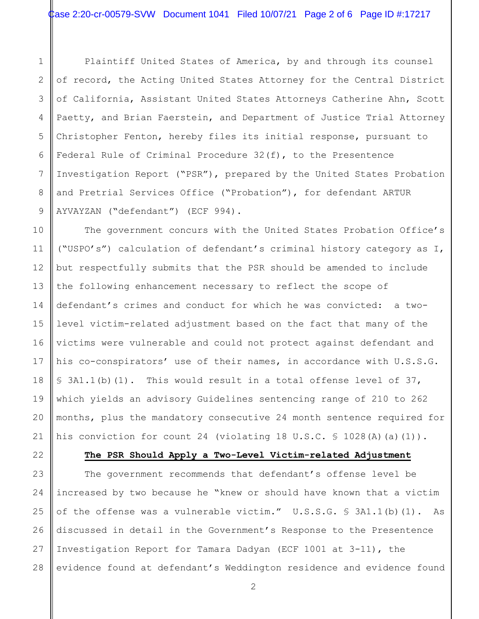1 2 3 4 5 6 7 8 9 Plaintiff United States of America, by and through its counsel of record, the Acting United States Attorney for the Central District of California, Assistant United States Attorneys Catherine Ahn, Scott Paetty, and Brian Faerstein, and Department of Justice Trial Attorney Christopher Fenton, hereby files its initial response, pursuant to Federal Rule of Criminal Procedure 32(f), to the Presentence Investigation Report ("PSR"), prepared by the United States Probation and Pretrial Services Office ("Probation"), for defendant ARTUR AYVAYZAN ("defendant") (ECF 994).

10 11 12 13 14 15 16 17 18 19 20 21 The government concurs with the United States Probation Office's ("USPO's") calculation of defendant's criminal history category as I, but respectfully submits that the PSR should be amended to include the following enhancement necessary to reflect the scope of defendant's crimes and conduct for which he was convicted: a twolevel victim-related adjustment based on the fact that many of the victims were vulnerable and could not protect against defendant and his co-conspirators' use of their names, in accordance with U.S.S.G. § 3A1.1(b)(1). This would result in a total offense level of 37, which yields an advisory Guidelines sentencing range of 210 to 262 months, plus the mandatory consecutive 24 month sentence required for his conviction for count 24 (violating 18 U.S.C. § 1028(A)(a)(1)).

22

## **The PSR Should Apply a Two-Level Victim-related Adjustment**

23 24 25 26 27 28 The government recommends that defendant's offense level be increased by two because he "knew or should have known that a victim of the offense was a vulnerable victim." U.S.S.G. § 3A1.1(b)(1). As discussed in detail in the Government's Response to the Presentence Investigation Report for Tamara Dadyan (ECF 1001 at 3-11), the evidence found at defendant's Weddington residence and evidence found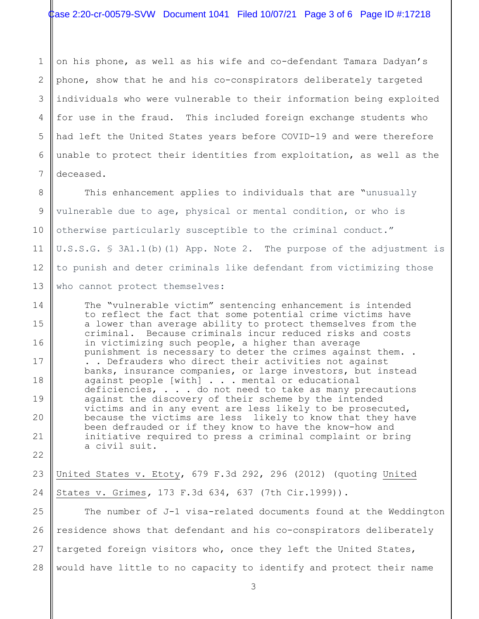1 2 3 4 5 6 7 on his phone, as well as his wife and co-defendant Tamara Dadyan's phone, show that he and his co-conspirators deliberately targeted individuals who were vulnerable to their information being exploited for use in the fraud. This included foreign exchange students who had left the United States years before COVID-19 and were therefore unable to protect their identities from exploitation, as well as the deceased.

8 9 10 11 12 13 This enhancement applies to individuals that are "unusually vulnerable due to age, physical or mental condition, or who is otherwise particularly susceptible to the criminal conduct." U.S.S.G. § 3A1.1(b)(1) App. Note 2. The purpose of the adjustment is to punish and deter criminals like defendant from victimizing those who cannot protect themselves:

The "vulnerable victim" sentencing enhancement is intended to reflect the fact that some potential crime victims have a lower than average ability to protect themselves from the criminal. Because criminals incur reduced risks and costs in victimizing such people, a higher than average punishment is necessary to deter the crimes against them. . . . Defrauders who direct their activities not against banks, insurance companies, or large investors, but instead against people [with] . . . mental or educational deficiencies, . . . do not need to take as many precautions against the discovery of their scheme by the intended victims and in any event are less likely to be prosecuted, because the victims are less likely to know that they have been defrauded or if they know to have the know-how and initiative required to press a criminal complaint or bring a civil suit.

14

15

16

17

18

19

20

21

22

23 24 United States v. Etoty, 679 F.3d 292, 296 (2012) (quoting United States v. Grimes*,* 173 F.3d 634, 637 (7th Cir.1999)).

25 26 27 28 The number of J-1 visa-related documents found at the Weddington residence shows that defendant and his co-conspirators deliberately targeted foreign visitors who, once they left the United States, would have little to no capacity to identify and protect their name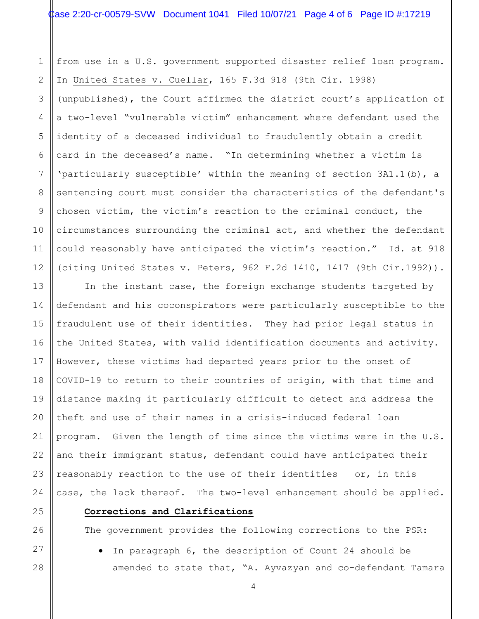from use in a U.S. government supported disaster relief loan program. In United States v. Cuellar, 165 F.3d 918 (9th Cir. 1998) (unpublished), the Court affirmed the district court's application of a two-level "vulnerable victim" enhancement where defendant used the identity of a deceased individual to fraudulently obtain a credit card in the deceased's name. "In determining whether a victim is 'particularly susceptible' within the meaning of section 3A1.1(b), a sentencing court must consider the characteristics of the defendant's chosen victim, the victim's reaction to the criminal conduct, the circumstances surrounding the criminal act, and whether the defendant could reasonably have anticipated the victim's reaction." Id. at 918 (citing United States v. Peters, 962 F.2d 1410, 1417 (9th Cir.1992)).

16 20 22 23 In the instant case, the foreign exchange students targeted by defendant and his coconspirators were particularly susceptible to the fraudulent use of their identities. They had prior legal status in the United States, with valid identification documents and activity. However, these victims had departed years prior to the onset of COVID-19 to return to their countries of origin, with that time and distance making it particularly difficult to detect and address the theft and use of their names in a crisis-induced federal loan program. Given the length of time since the victims were in the U.S. and their immigrant status, defendant could have anticipated their reasonably reaction to the use of their identities – or, in this case, the lack thereof. The two-level enhancement should be applied.

1

2

3

4

5

6

7

8

9

10

11

12

13

14

15

17

18

19

21

24

25

26

27

28

## **Corrections and Clarifications**

The government provides the following corrections to the PSR:

• In paragraph 6, the description of Count 24 should be amended to state that, "A. Ayvazyan and co-defendant Tamara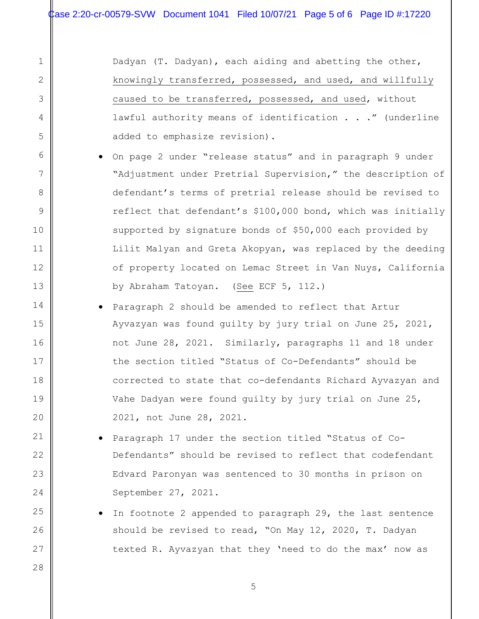1

2

3

4

5

6

7

8

9

10

11

12

13

14

15

16

17

18

19

20

21

22

23

24

25

26

27

28

Dadyan (T. Dadyan), each aiding and abetting the other, knowingly transferred, possessed, and used, and willfully caused to be transferred, possessed, and used, without lawful authority means of identification . . ." (underline added to emphasize revision).

- On page 2 under "release status" and in paragraph 9 under "Adjustment under Pretrial Supervision," the description of defendant's terms of pretrial release should be revised to reflect that defendant's \$100,000 bond, which was initially supported by signature bonds of \$50,000 each provided by Lilit Malyan and Greta Akopyan, was replaced by the deeding of property located on Lemac Street in Van Nuys, California by Abraham Tatoyan. (See ECF 5, 112.)
- Paragraph 2 should be amended to reflect that Artur Ayvazyan was found guilty by jury trial on June 25, 2021, not June 28, 2021. Similarly, paragraphs 11 and 18 under the section titled "Status of Co-Defendants" should be corrected to state that co-defendants Richard Ayvazyan and Vahe Dadyan were found guilty by jury trial on June 25, 2021, not June 28, 2021.
	- Paragraph 17 under the section titled "Status of Co-Defendants" should be revised to reflect that codefendant Edvard Paronyan was sentenced to 30 months in prison on September 27, 2021.
	- In footnote 2 appended to paragraph 29, the last sentence should be revised to read, "On May 12, 2020, T. Dadyan texted R. Ayvazyan that they 'need to do the max' now as